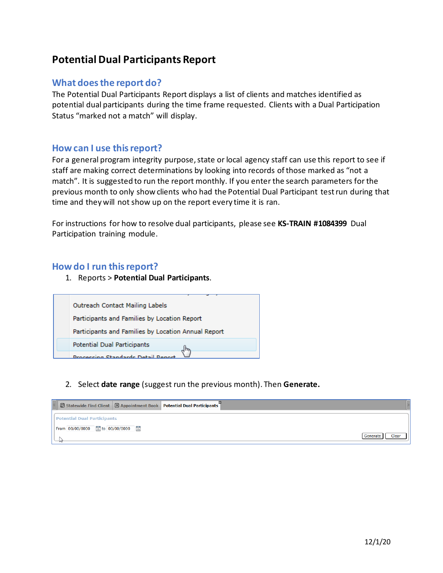# **Potential Dual Participants Report**

## **What does the report do?**

The Potential Dual Participants Report displays a list of clients and matches identified as potential dual participants during the time frame requested. Clients with a Dual Participation Status "marked not a match" will display.

## **How can I use this report?**

For a general program integrity purpose, state or local agency staff can use this report to see if staff are making correct determinations by looking into records of those marked as "not a match". It is suggested to run the report monthly. If you enter the search parameters for the previous month to only show clients who had the Potential Dual Participant test run during that time and they will not show up on the report every time it is ran.

For instructions for how to resolve dual participants, please see **KS-TRAIN #1084399** Dual Participation training module.

#### **How do I run this report?**

1. Reports > **Potential Dual Participants**.



2. Select **date range** (suggest run the previous month). Then **Generate.**